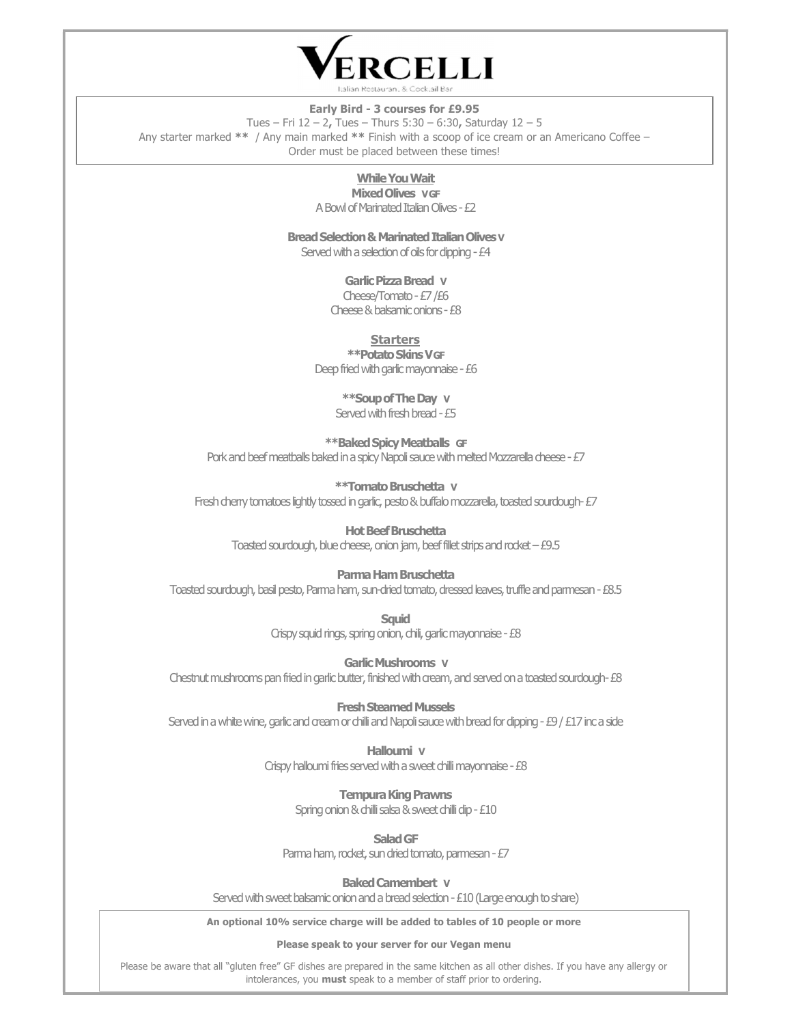

#### Early Bird - 3 courses for £9.95

Tues – Fri 12 – 2, Tues – Thurs 5:30 – 6:30, Saturday 12 – 5 Any starter marked \*\* / Any main marked \*\* Finish with a scoop of ice cream or an Americano Coffee – Order must be placed between these times!

## While You Wait

**Mixed Olives VGF** A Bowl of Marinated Italian Olives - £2

Bread Selection & Marinated Italian Olives V

Served with a selection of oils for dipping - £4

### Garlic Pizza Bread V

Cheese/Tomato - £7 /£6 Cheese & balsamic onions - £8

### **Starters**

\*\*Potato Skins V GF Deep fried with garlic mayonnaise - £6

> \*\*Soup of The Day V Served with fresh bread - £5

\*\*Baked Spicy Meatballs GF Pork and beef meatballs baked in a spicy Napoli sauce with melted Mozzarella cheese - £7

\*\*Tomato Bruschetta V Fresh cherry tomatoes lightly tossed in garlic, pesto & buffalo mozzarella, toasted sourdough- £7

Hot Beef Bruschetta Toasted sourdough, blue cheese, onion jam, beef fillet strips and rocket – £9.5

## Parma Ham Bruschetta

Toasted sourdough, basil pesto, Parma ham, sun-dried tomato, dressed leaves, truffle and parmesan - £8.5

**Squid** Crispy squid rings, spring onion, chili, garlic mayonnaise - £8

Garlic Mushrooms V Chestnut mushrooms pan fried in garlic butter, finished with cream, and served on a toasted sourdough- £8

Fresh Steamed Mussels Served in a white wine, garlic and cream or chilli and Napoli sauce with bread for dipping - £9 / £17 inc a side

> Halloumi V Crispy halloumi fries served with a sweet chilli mayonnaise - £8

> > Tempura King Prawns Spring onion & chilli salsa & sweet chilli dip - £10

> > > Salad GF

Parma ham, rocket, sun dried tomato, parmesan - £7

Baked Camembert V

Served with sweet balsamic onion and a bread selection - £10 (Large enough to share)

An optional 10% service charge will be added to tables of 10 people or more

Please speak to your server for our Vegan menu

Please be aware that all "gluten free" GF dishes are prepared in the same kitchen as all other dishes. If you have any allergy or intolerances, you **must** speak to a member of staff prior to ordering.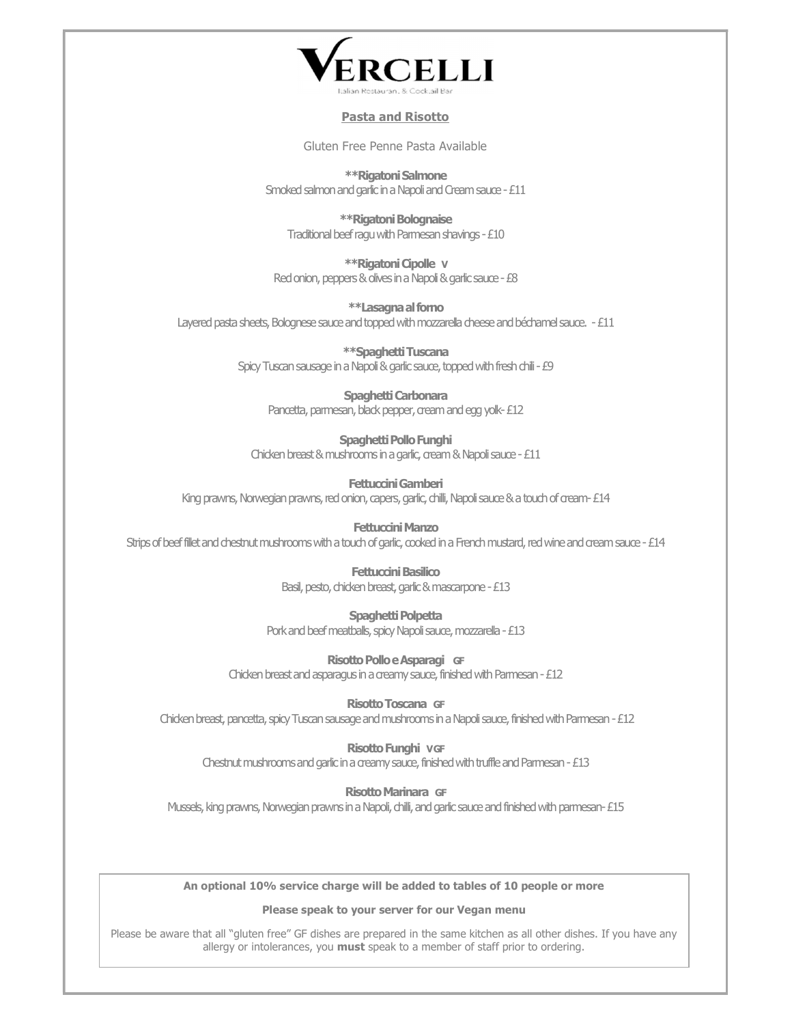

## Pasta and Risotto

Gluten Free Penne Pasta Available

\*\*Rigatoni Salmone Smoked salmon and garlic in a Napoli and Cream sauce - £11

\*\*Rigatoni Bolognaise Traditional beef ragu with Parmesan shavings - £10

\*\*Rigatoni Cipolle V Red onion, peppers & olives in a Napoli & garlic sauce - £8

\*\*Lasagna al forno Layered pasta sheets, Bolognese sauce and topped with mozzarella cheese and béchamel sauce. - £11

> \*\*Spaghetti Tuscana Spicy Tuscan sausage in a Napoli & garlic sauce, topped with fresh chili - £9

Spaghetti Carbonara Pancetta, parmesan, black pepper, cream and egg yolk-£12

Spaghetti Pollo Funghi Chicken breast & mushrooms in a garlic, cream & Napoli sauce - £11

Fettuccini Gamberi King prawns, Norwegian prawns, red onion, capers, garlic, chilli, Napoli sauce & a touch of cream- £14

Fettuccini Manzo Strips of beef fillet and chestnut mushrooms with a touch of garlic, cooked in a French mustard, red wine and cream sauce - £14

> Fettuccini Basilico Basil, pesto, chicken breast, garlic & mascarpone - £13

Spaghetti Polpetta Pork and beef meatballs, spicy Napoli sauce, mozzarella - £13

Risotto Pollo e Asparagi GF Chicken breast and asparagus in a creamy sauce, finished with Parmesan - £12

Risotto Toscana GF Chicken breast, pancetta, spicy Tuscan sausage and mushrooms in a Napoli sauce, finished with Parmesan - £12

Risotto Funghi V GF Chestnut mushrooms and garlic in a creamy sauce, finished with truffle and Parmesan - £13

Risotto Marinara GF

Mussels, king prawns, Norwegian prawns in a Napoli, chilli, and garlic sauce and finished with parmesan- £15

An optional 10% service charge will be added to tables of 10 people or more

Please speak to your server for our Vegan menu

Please be aware that all "gluten free" GF dishes are prepared in the same kitchen as all other dishes. If you have any allergy or intolerances, you must speak to a member of staff prior to ordering.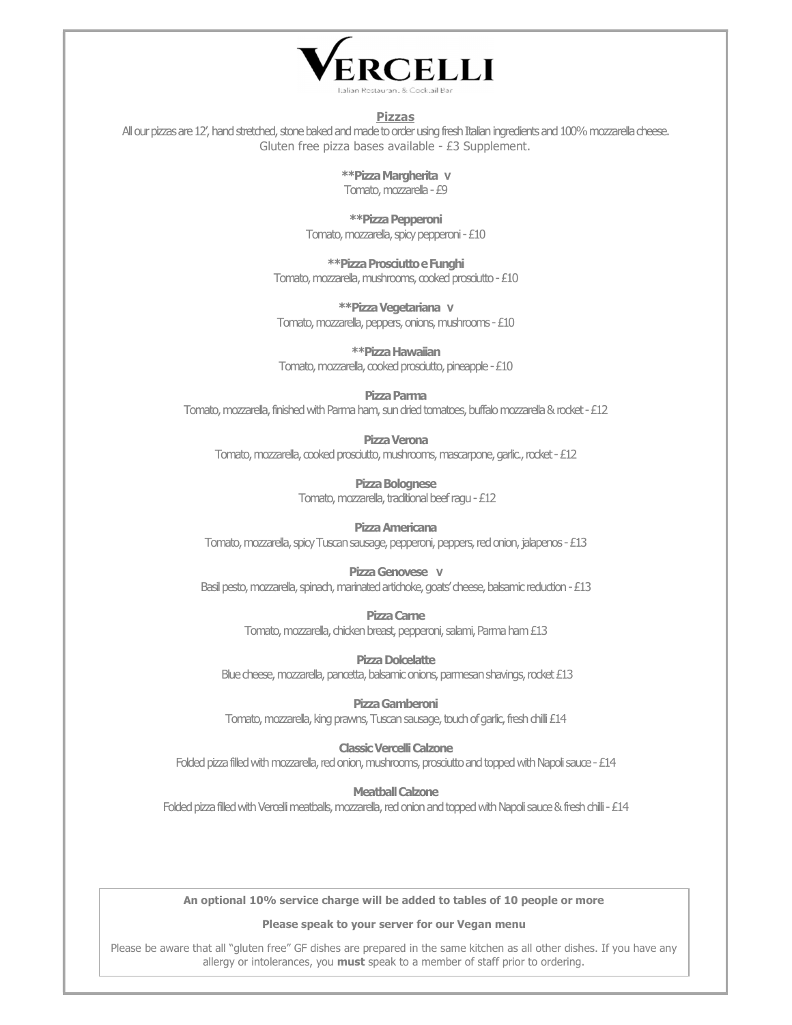

#### Pizzas

All our pizzas are 12', hand stretched, stone baked and made to order using fresh Italian ingredients and 100% mozzarella cheese. Gluten free pizza bases available - £3 Supplement.

> \*\*Pizza Margherita V Tomato, mozzarella - £9

\*\*Pizza Pepperoni Tomato, mozzarella, spicy pepperoni - £10

\*\*Pizza Prosciutto e Funghi Tomato, mozzarella, mushrooms, cooked prosciutto - £10

\*\*Pizza Vegetariana V Tomato, mozzarella, peppers, onions, mushrooms - £10

\*\*Pizza Hawaiian Tomato, mozzarella, cooked prosciutto, pineapple - £10

Pizza Parma

Tomato, mozzarella, finished with Parma ham, sun dried tomatoes, buffalo mozzarella & rocket - £12

Pizza Verona Tomato, mozzarella, cooked prosciutto, mushrooms, mascarpone, garlic., rocket - £12

> Pizza Bolognese Tomato, mozzarella, traditional beef ragu - £12

Pizza Americana Tomato, mozzarella, spicy Tuscan sausage, pepperoni, peppers, red onion, jalapenos - £13

Pizza Genovese V Basil pesto, mozzarella, spinach, marinated artichoke, goats' cheese, balsamic reduction - £13

> Pizza Carne Tomato, mozzarella, chicken breast, pepperoni, salami, Parma ham £13

Pizza Dolcelatte Blue cheese, mozzarella, pancetta, balsamic onions, parmesan shavings, rocket £13

Pizza Gamberoni Tomato, mozzarella, king prawns, Tuscan sausage, touch of garlic, fresh chilli £14

Classic Vercelli Calzone Folded pizza filled with mozzarella, red onion, mushrooms, prosciutto and topped with Napoli sauce - £14

Meatball Calzone Folded pizza filled with Vercelli meatballs, mozzarella, red onion and topped with Napoli sauce & fresh chilli - £14

An optional 10% service charge will be added to tables of 10 people or more

Please speak to your server for our Vegan menu

Please be aware that all "gluten free" GF dishes are prepared in the same kitchen as all other dishes. If you have any allergy or intolerances, you must speak to a member of staff prior to ordering.  $\overline{a}$